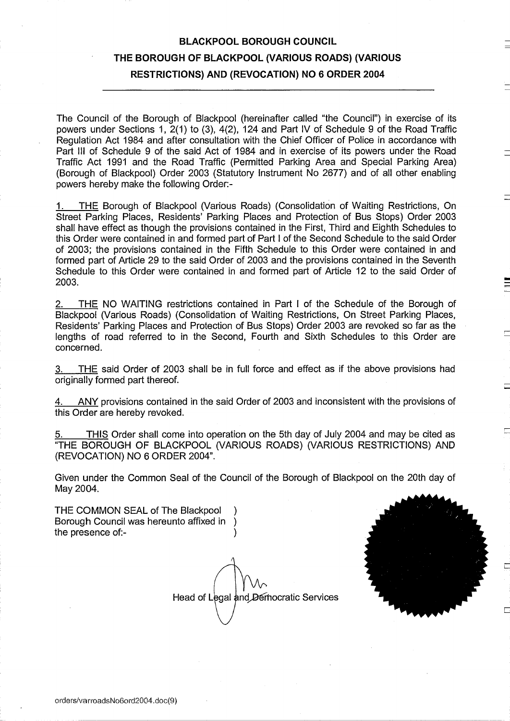# BLACKPOOL BOROUGH COUNCIL THE BOROUGH OF BLACKPOOL (VARIOUS ROADS) (VARIOUS RESTRICTIONS) AND (REVOCATION) NO <sup>6</sup> ORDER 2004

The Council of the Borough of Blackpool (hereinafter called "the Council") in exercise of its powers under Sections 1, 2(1) to (3), 4(2), 124 and Part IV of Schedule 9 of the Road Traffic Regulation Act 1984 and after consultation with the Chief Officer of Police in accordance with Part III of Schedule 9 of the said Act of 1984 and in exercise of its powers under the Road Traffic Act 1991 and the Road Traffic (Permitted Parking Area and Special Parking Area) (Borough of Blackpool) Order 2003 (Statutory Instrument No 2677) and of all other enabling powers hereby make the following Order:-

THE Borough of Blackpool (Various Roads) (Consolidation of Waiting Restrictions, On Street Parking Places, Residents' Parking Places and Protection of Bus Stops) Order 2003 shall have effect as though the provisions contained in the First, Third and Eighth Schedules to this Order were contained in and formed part of Part <sup>I</sup> of the Second Schedule to the said Order of 2003; the provisions contained in the Fifth Schedule to this Order were contained in and formed part of Article 29 to the said Order of 2003 and the provisions contained in the Seventh Schedule to this Order were contained in and formed part of Article 12 to the said Order of 2003.

2. THE NO WAITING restrictions contained in Part <sup>I</sup> of the Schedule of the Borough of Blackpool (Various Roads) (Consolidation of Waiting Restrictions, On Street Parking Places, Residents' Parking Places and Protection of Bus Stops) Order 2003 are revoked so far as the lengths of road referred to in the Second, Fourth and Sixth Schedules to this Order are concerned.

3. THE said Order of 2003 shall be in full force and effect as if the above provisions had originally formed part thereof.

4. ANY provisions contained in the said Order of 2003 and inconsistent with the provisions of this Order are hereby revoked.

THIS Order shall come into operation on the 5th day of July 2004 and may be cited as "THE BOROUGH OF BLACKPOOL (VARIOUS ROADS) (VARIOUS RESTRICTIONS) AND (REVOCATION) NO <sup>6</sup> ORDER 2004" .

Given under the Common Seal of the Council of the Borough of Blackpool on the 20th day of May 2004.

THE COMMON SEAL of The Blackpool (a)<br>Borough Council was hereunto affixed in Borough Council was hereunto affixed in ) the presence of:-

Head of Legal and Democratic Services

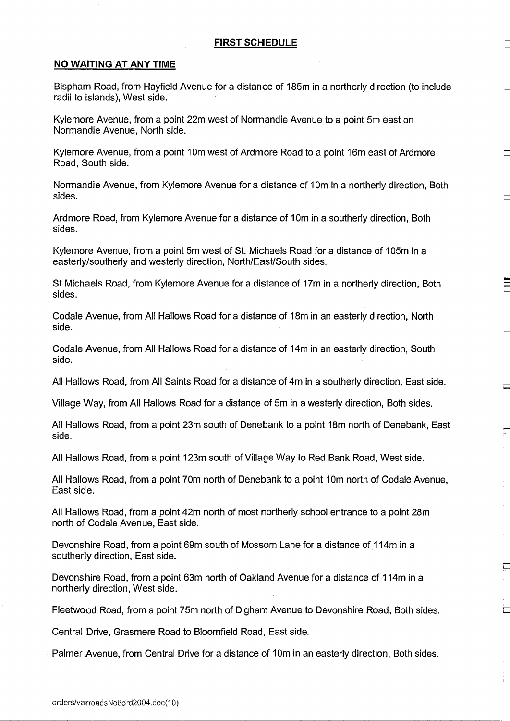## NO WAITING AT ANY TIME

Bispham Road, from Hayfield Avenue for a distance of 185m in a northerly direction (to include radii to islands), West side .

Kylemore Avenue, from <sup>a</sup> point 22m west of Normandie Avenue to a point 5m east on Normandie Avenue, North side .

Kylemore Avenue, from a point 10m west of Ardmore Road to a point 16m east of Ardmore Road, South side .

Normandie Avenue, from Kylemore Avenue for a distance of 10m in a northerly direction, Both sides.

Ardmore Road, from Kylemore Avenue for a distance of 10m in a southerly direction, Both sides.

Kylemore Avenue, from a point 5m west of St. Michaels Road for a distance of 105m in a easterly/southerly and westerly direction, North/East/South sides.

St Michaels Road, from Kylemore Avenue for a distance of 17m in a northerly direction, Both sides .

Codale Avenue, from All Hallows Road for a distance of 18m in an easterly direction, North side.

Codale Avenue, from All Hallows Road for a distance of 14m in an easterly direction, South side.

All Hallows Road, from All Saints Road for a distance of 4m in a southerly direction, East side.

Village Way, from All Hallows Road for a distance of 5m in a westerly direction, Both sides.

All Hallows Road, from a point 23m south of Denebank to a point 18m north of Denebank, East side.

All Hallows Road, from a point 123m south of Village Way to Red Bank Road, West side .

All Hallows Road, from a point 70m north of Denebank to a point 10m north of Codale Avenue, East side.

All Hallows Road, from a point 42m north of most northerly school entrance to a point 28m north of Codale Avenue, East side.

Devonshire Road, from a point 69m south of Mossom Lane for a distance of 114m in a southerly direction, East side.

Devonshire Road, from a point 63m north of Oakland Avenue for a distance of 114m in a northerly direction, West side.

Fleetwood Road, from a point 75m north of Digham Avenue to Devonshire Road, Both sides.

匸

Central Drive, Grasmere Road to Bloomfield Road, East side.

Palmer Avenue, from Central Drive for a distance of 10m in an easterly direction, Both sides.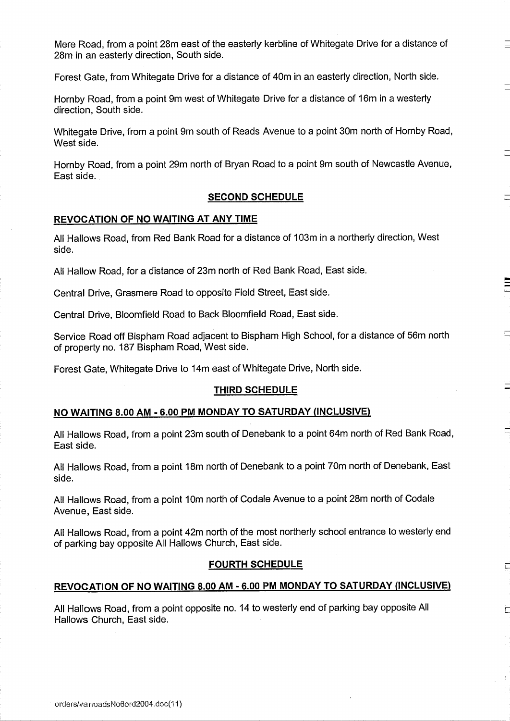Mere Road, from a point 28m east of the easterly kerbline of Whitegate Drive for a distance of 28m in an easterly direction, South side.

Forest Gate, from Whitegate Drive for a distance of 40m in an easterly direction, North side .

Hornby Road, from a point 9m west of Whitegate Drive for a distance of 16m in a westerly direction, South side.

Whitegate Drive, from a point 9m south of Reads Avenue to a point 30m north of Homby Road, West side.

Hornby Road, from a point 29m north of Bryan Road to a point 9m south of Newcastle Avenue, East side.

## SECOND SCHEDULE

## REVOCATION OF NO WAITING AT ANY TIME

All Hallows Road, from Red Bank Road for a distance of 103m in a northerly direction, West side.

All Hallow Road, for a distance of 23m north of Red Bank Road, East side.

Central Drive, Grasmere Road to opposite Field Street, East side.

Central Drive, Bloomfield Road to Back Bloomfield Road, East side .

Service Road off Bispham Road adjacent to Bispham High School, for a distance of 56m north of property no. 187 Bispham Road, West side.

Forest Gate, Whitegate Drive to 14m east of Whitegate Drive, North side.

#### THIRD SCHEDULE

#### NO WAITING 8.00 AM - 6.00 PM MONDAY TO SATURDAY (INCLUSIVE)

All Hallows Road, from a point 23m south of Denebank to a point 64m north of Red Bank Road, East side.

All Hallows Road, from a point 18m north of Denebank to a point 70m north of Denebank, East side .

All Hallows Road, from a point 10m north of Codale Avenue to a point 28m north of Codale Avenue, East side.

All Hallows Road, from a point 42m north of the most northerly school entrance to westerly end of parking bay opposite All Hallows Church, East side.

#### FOURTH SCHEDULE

#### REVOCATION OF NO WAITING 8.0 <sup>0</sup> AM - 6.00 PM MONDAY TO SATURDAY (INCLUSIVE)

All Hallows Road, from a point opposite no. 14 to westerly end of parking bay opposite All Hallows Church, East side.